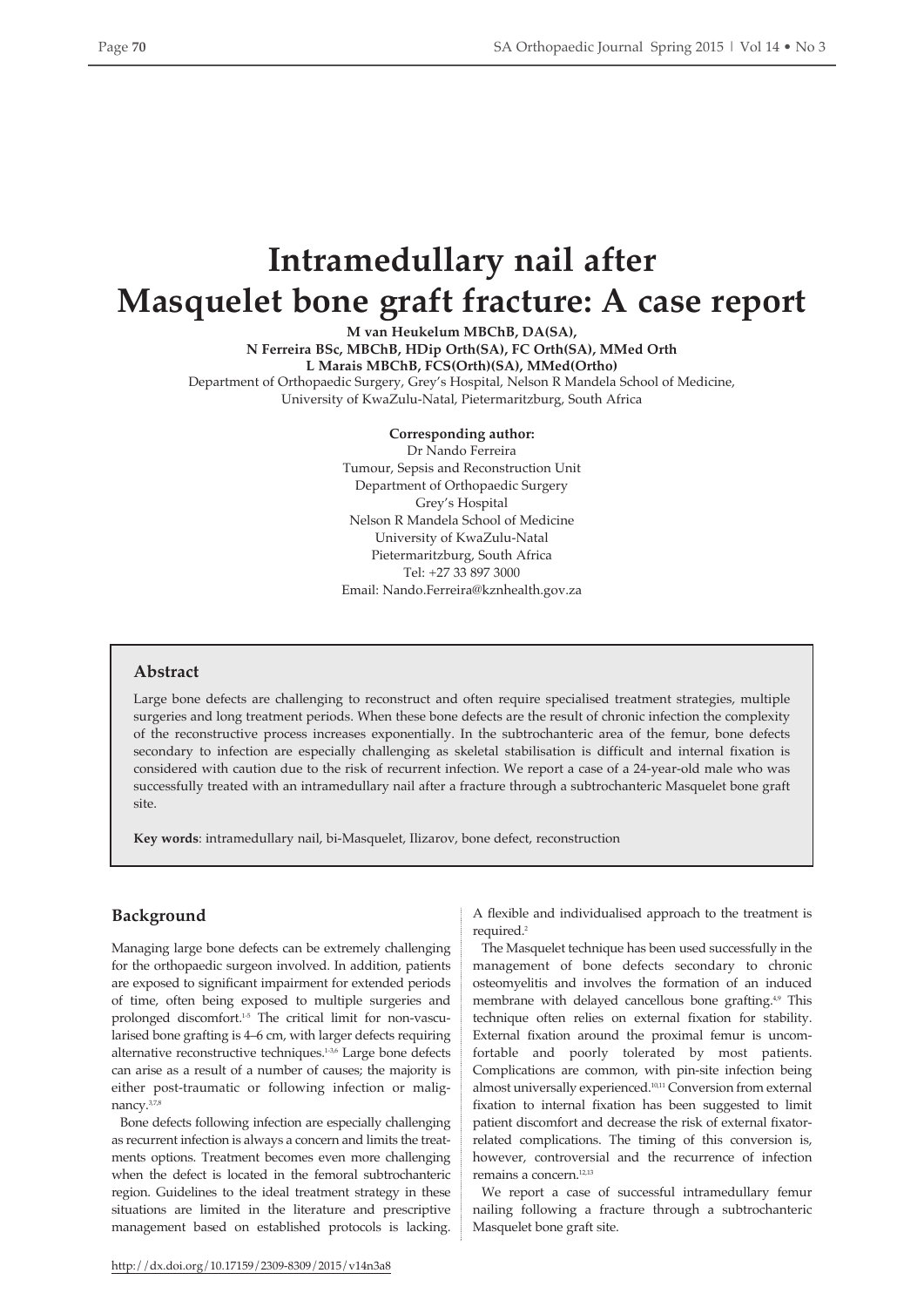# **Intramedullary nail after Masquelet bone graft fracture: A case report**

**M van Heukelum MBChB, DA(SA), N Ferreira BSc, MBChB, HDip Orth(SA), FC Orth(SA), MMed Orth L Marais MBChB, FCS(Orth)(SA), MMed(Ortho)** Department of Orthopaedic Surgery, Grey's Hospital, Nelson R Mandela School of Medicine, University of KwaZulu-Natal, Pietermaritzburg, South Africa

> **Corresponding author:** Dr Nando Ferreira Tumour, Sepsis and Reconstruction Unit Department of Orthopaedic Surgery Grey's Hospital Nelson R Mandela School of Medicine University of KwaZulu-Natal Pietermaritzburg, South Africa Tel: +27 33 897 3000 Email: Nando.Ferreira@kznhealth.gov.za

## **Abstract**

Large bone defects are challenging to reconstruct and often require specialised treatment strategies, multiple surgeries and long treatment periods. When these bone defects are the result of chronic infection the complexity of the reconstructive process increases exponentially. In the subtrochanteric area of the femur, bone defects secondary to infection are especially challenging as skeletal stabilisation is difficult and internal fixation is considered with caution due to the risk of recurrent infection. We report a case of a 24-year-old male who was successfully treated with an intramedullary nail after a fracture through a subtrochanteric Masquelet bone graft site.

**Key words**: intramedullary nail, bi-Masquelet, Ilizarov, bone defect, reconstruction

## **Background**

Managing large bone defects can be extremely challenging for the orthopaedic surgeon involved. In addition, patients are exposed to significant impairment for extended periods of time, often being exposed to multiple surgeries and prolonged discomfort. 1-5 The critical limit for non-vascularised bone grafting is 4–6 cm, with larger defects requiring alternative reconstructive techniques.<sup>13,6</sup> Large bone defects can arise as a result of a number of causes; the majority is either post-traumatic or following infection or malignancy. 3,7,8

Bone defects following infection are especially challenging as recurrent infection is always a concern and limits the treatments options. Treatment becomes even more challenging when the defect is located in the femoral subtrochanteric region. Guidelines to the ideal treatment strategy in these situations are limited in the literature and prescriptive management based on established protocols is lacking. A flexible and individualised approach to the treatment is required. 2

The Masquelet technique has been used successfully in the management of bone defects secondary to chronic osteomyelitis and involves the formation of an induced membrane with delayed cancellous bone grafting.<sup>4,9</sup> This technique often relies on external fixation for stability. External fixation around the proximal femur is uncomfortable and poorly tolerated by most patients. Complications are common, with pin-site infection being almost universally experienced. 10,11 Conversion from external fixation to internal fixation has been suggested to limit patient discomfort and decrease the risk of external fixatorrelated complications. The timing of this conversion is, however, controversial and the recurrence of infection remains a concern. 12,13

We report a case of successful intramedullary femur nailing following a fracture through a subtrochanteric Masquelet bone graft site.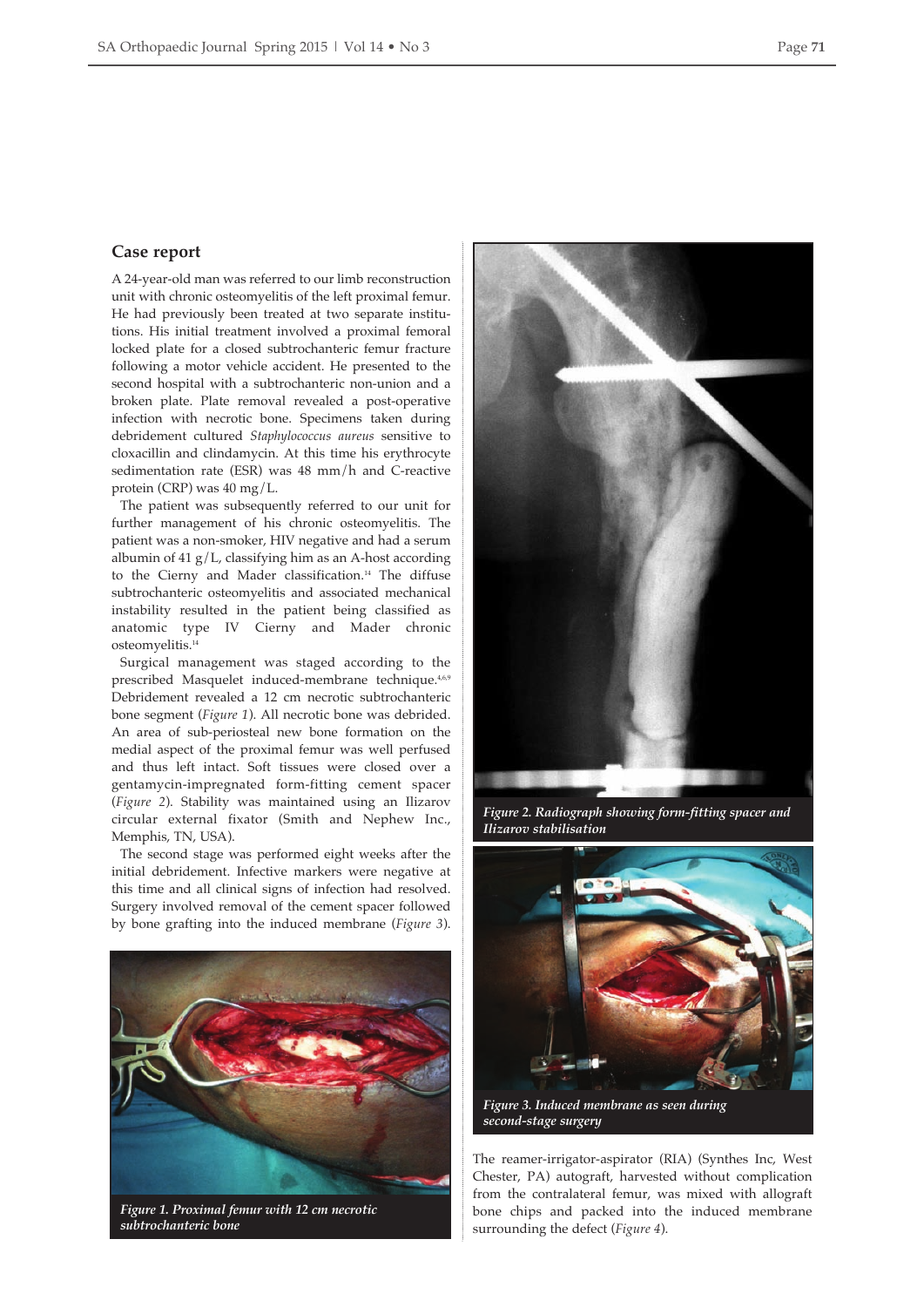#### **Case report**

A 24-year-old man was referred to our limb reconstruction unit with chronic osteomyelitis of the left proximal femur. He had previously been treated at two separate institutions. His initial treatment involved a proximal femoral locked plate for a closed subtrochanteric femur fracture following a motor vehicle accident. He presented to the second hospital with a subtrochanteric non-union and a broken plate. Plate removal revealed a post-operative infection with necrotic bone. Specimens taken during debridement cultured *Staphylococcus aureus* sensitive to cloxacillin and clindamycin. At this time his erythrocyte sedimentation rate (ESR) was 48 mm/h and C-reactive protein (CRP) was 40 mg/L.

The patient was subsequently referred to our unit for further management of his chronic osteomyelitis. The patient was a non-smoker, HIV negative and had a serum albumin of 41  $g/L$ , classifying him as an A-host according to the Cierny and Mader classification.<sup>14</sup> The diffuse subtrochanteric osteomyelitis and associated mechanical instability resulted in the patient being classified as anatomic type IV Cierny and Mader chronic osteomyelitis.14

Surgical management was staged according to the prescribed Masquelet induced-membrane technique.4,6,9 Debridement revealed a 12 cm necrotic subtrochanteric bone segment (*Figure 1*). All necrotic bone was debrided. An area of sub-periosteal new bone formation on the medial aspect of the proximal femur was well perfused and thus left intact. Soft tissues were closed over a gentamycin-impregnated form-fitting cement spacer (*Figure 2*). Stability was maintained using an Ilizarov circular external fixator (Smith and Nephew Inc., Memphis, TN, USA).

The second stage was performed eight weeks after the initial debridement. Infective markers were negative at this time and all clinical signs of infection had resolved. Surgery involved removal of the cement spacer followed by bone grafting into the induced membrane (*Figure 3*).



*subtrochanteric bone*



*Figure 2. Radiograph showing form-fitting spacer and Ilizarov stabilisation*



*Figure 3. Induced membrane as seen during second-stage surgery*

The reamer-irrigator-aspirator (RIA) (Synthes Inc, West Chester, PA) autograft, harvested without complication from the contralateral femur, was mixed with allograft bone chips and packed into the induced membrane surrounding the defect (*Figure 4*).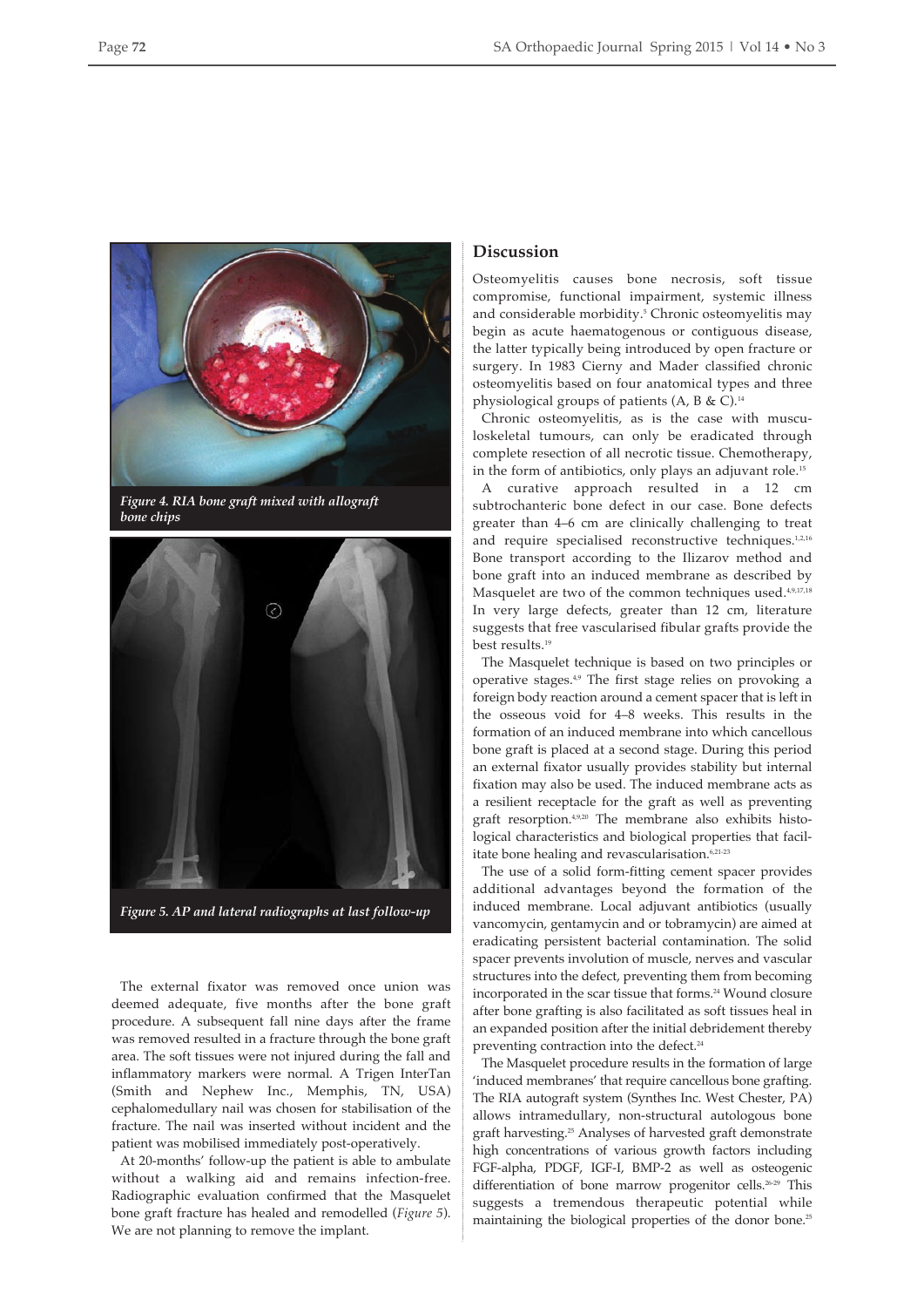

*Figure 4. RIA bone graft mixed with allograft bone chips*



*Figure 5. AP and lateral radiographs at last follow-up*

The external fixator was removed once union was deemed adequate, five months after the bone graft procedure. A subsequent fall nine days after the frame was removed resulted in a fracture through the bone graft area. The soft tissues were not injured during the fall and inflammatory markers were normal. A Trigen InterTan (Smith and Nephew Inc., Memphis, TN, USA) cephalomedullary nail was chosen for stabilisation of the fracture. The nail was inserted without incident and the patient was mobilised immediately post-operatively.

At 20-months' follow-up the patient is able to ambulate without a walking aid and remains infection-free. Radiographic evaluation confirmed that the Masquelet bone graft fracture has healed and remodelled (*Figure 5*). We are not planning to remove the implant.

# **Discussion**

Osteomyelitis causes bone necrosis, soft tissue compromise, functional impairment, systemic illness and considerable morbidity.<sup>5</sup> Chronic osteomyelitis may begin as acute haematogenous or contiguous disease, the latter typically being introduced by open fracture or surgery. In 1983 Cierny and Mader classified chronic osteomyelitis based on four anatomical types and three physiological groups of patients  $(A, B \& C)^{14}$ 

Chronic osteomyelitis, as is the case with musculoskeletal tumours, can only be eradicated through complete resection of all necrotic tissue. Chemotherapy, in the form of antibiotics, only plays an adjuvant role.<sup>15</sup>

A curative approach resulted in a 12 cm subtrochanteric bone defect in our case. Bone defects greater than 4–6 cm are clinically challenging to treat and require specialised reconstructive techniques.<sup>1,2,16</sup> Bone transport according to the Ilizarov method and bone graft into an induced membrane as described by Masquelet are two of the common techniques used.<sup>4,9,17,18</sup> In very large defects, greater than 12 cm, literature suggests that free vascularised fibular grafts provide the best results.19

The Masquelet technique is based on two principles or operative stages.4,9 The first stage relies on provoking a foreign body reaction around a cement spacer that is left in the osseous void for 4–8 weeks. This results in the formation of an induced membrane into which cancellous bone graft is placed at a second stage. During this period an external fixator usually provides stability but internal fixation may also be used. The induced membrane acts as a resilient receptacle for the graft as well as preventing graft resorption.4,9,20 The membrane also exhibits histological characteristics and biological properties that facilitate bone healing and revascularisation.<sup>6,21-23</sup>

The use of a solid form-fitting cement spacer provides additional advantages beyond the formation of the induced membrane. Local adjuvant antibiotics (usually vancomycin, gentamycin and or tobramycin) are aimed at eradicating persistent bacterial contamination. The solid spacer prevents involution of muscle, nerves and vascular structures into the defect, preventing them from becoming incorporated in the scar tissue that forms.<sup>24</sup> Wound closure after bone grafting is also facilitated as soft tissues heal in an expanded position after the initial debridement thereby preventing contraction into the defect.<sup>24</sup>

The Masquelet procedure results in the formation of large 'induced membranes' that require cancellous bone grafting. The RIA autograft system (Synthes Inc. West Chester, PA) allows intramedullary, non-structural autologous bone graft harvesting.25 Analyses of harvested graft demonstrate high concentrations of various growth factors including FGF-alpha, PDGF, IGF-I, BMP-2 as well as osteogenic differentiation of bone marrow progenitor cells.<sup>26-29</sup> This suggests a tremendous therapeutic potential while maintaining the biological properties of the donor bone.<sup>25</sup>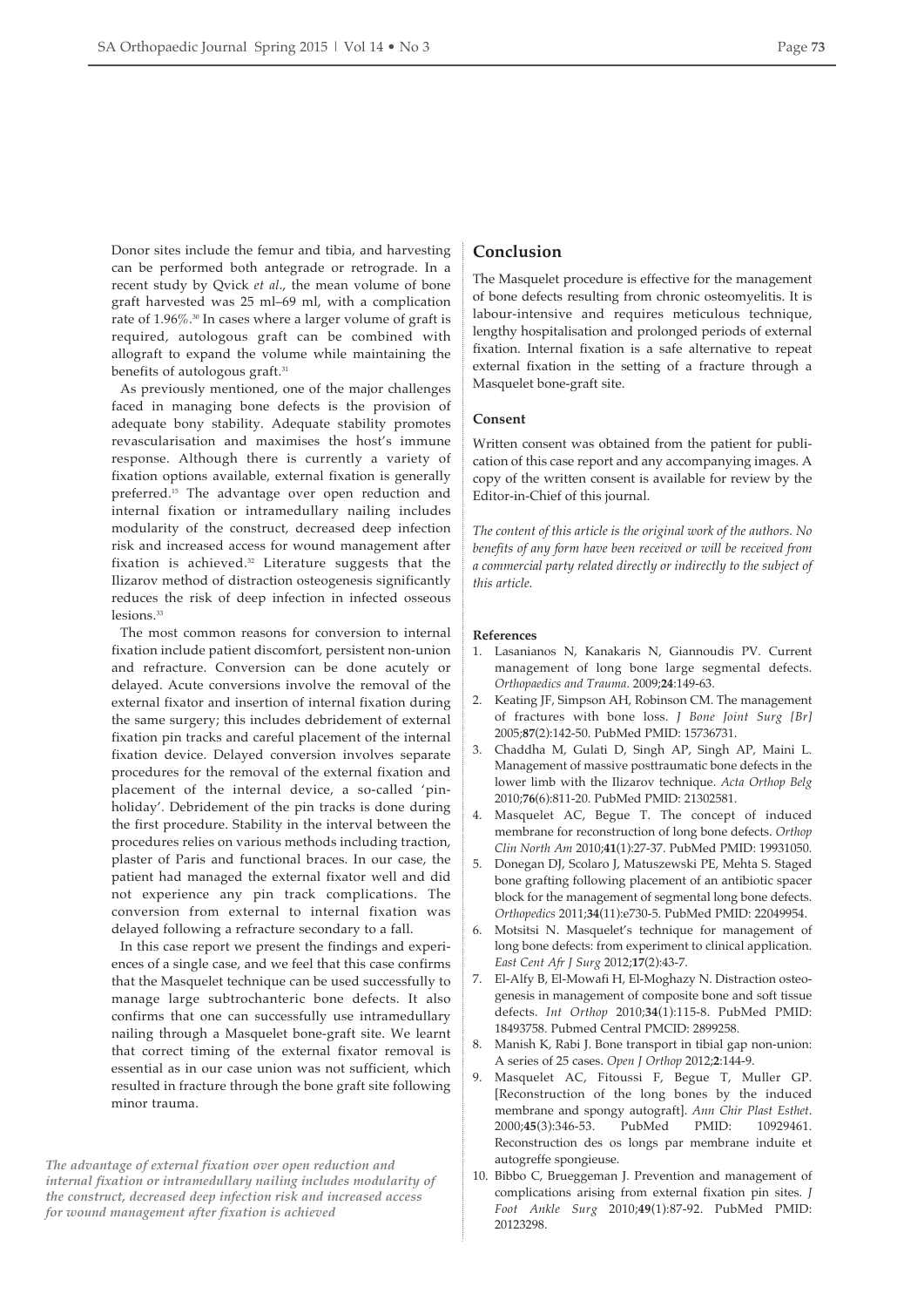Donor sites include the femur and tibia, and harvesting can be performed both antegrade or retrograde. In a recent study by Qvick *et al*., the mean volume of bone graft harvested was 25 ml–69 ml, with a complication rate of 1.96%. <sup>30</sup> In cases where a larger volume of graft is required, autologous graft can be combined with allograft to expand the volume while maintaining the benefits of autologous graft. 31

As previously mentioned, one of the major challenges faced in managing bone defects is the provision of adequate bony stability. Adequate stability promotes revascularisation and maximises the host's immune response. Although there is currently a variety of fixation options available, external fixation is generally preferred. <sup>15</sup> The advantage over open reduction and internal fixation or intramedullary nailing includes modularity of the construct, decreased deep infection risk and increased access for wound management after fixation is achieved. <sup>32</sup> Literature suggests that the Ilizarov method of distraction osteogenesis significantly reduces the risk of deep infection in infected osseous lesions. 33

The most common reasons for conversion to internal fixation include patient discomfort, persistent non-union and refracture. Conversion can be done acutely or delayed. Acute conversions involve the removal of the external fixator and insertion of internal fixation during the same surgery; this includes debridement of external fixation pin tracks and careful placement of the internal fixation device. Delayed conversion involves separate procedures for the removal of the external fixation and placement of the internal device, a so-called 'pinholiday'. Debridement of the pin tracks is done during the first procedure. Stability in the interval between the procedures relies on various methods including traction, plaster of Paris and functional braces. In our case, the patient had managed the external fixator well and did not experience any pin track complications. The conversion from external to internal fixation was delayed following a refracture secondary to a fall.

In this case report we present the findings and experiences of a single case, and we feel that this case confirms that the Masquelet technique can be used successfully to manage large subtrochanteric bone defects. It also confirms that one can successfully use intramedullary nailing through a Masquelet bone-graft site. We learnt that correct timing of the external fixator removal is essential as in our case union was not sufficient, which resulted in fracture through the bone graft site following minor trauma.

*The advantage of external fixation over open reduction and internal fixation or intramedullary nailing includes modularity of the construct, decreased deep infection risk and increased access for wound management after fixation is achieved*

### **Conclusion**

The Masquelet procedure is effective for the management of bone defects resulting from chronic osteomyelitis. It is labour-intensive and requires meticulous technique, lengthy hospitalisation and prolonged periods of external fixation. Internal fixation is a safe alternative to repeat external fixation in the setting of a fracture through a Masquelet bone-graft site.

#### **Consent**

Written consent was obtained from the patient for publication of this case report and any accompanying images. A copy of the written consent is available for review by the Editor-in-Chief of this journal.

*The content of this article is the original work of the authors. No benefits of any form have been received or will be received from a commercial party related directly or indirectly to the subject of this article.*

#### **References**

- 1. Lasanianos N, Kanakaris N, Giannoudis PV. Current management of long bone large segmental defects. *Orthopaedics and Trauma*. 2009;**24**:149-63.
- 2. Keating JF, Simpson AH, Robinson CM. The management of fractures with bone loss. *J Bone Joint Surg [Br]* 2005;**87**(2):142-50. PubMed PMID: 15736731.
- 3. Chaddha M, Gulati D, Singh AP, Singh AP, Maini L. Management of massive posttraumatic bone defects in the lower limb with the Ilizarov technique. *Acta Orthop Belg* 2010;**76**(6):811-20. PubMed PMID: 21302581.
- 4. Masquelet AC, Begue T. The concept of induced membrane for reconstruction of long bone defects. *Orthop Clin North Am* 2010;**41**(1):27-37. PubMed PMID: 19931050.
- 5. Donegan DJ, Scolaro J, Matuszewski PE, Mehta S. Staged bone grafting following placement of an antibiotic spacer block for the management of segmental long bone defects. *Orthopedics* 2011;**34**(11):e730-5. PubMed PMID: 22049954.
- 6. Motsitsi N. Masquelet's technique for management of long bone defects: from experiment to clinical application. *East Cent Afr J Surg* 2012;**17**(2):43-7.
- 7. El-Alfy B, El-Mowafi H, El-Moghazy N. Distraction osteogenesis in management of composite bone and soft tissue defects. *Int Orthop* 2010;**34**(1):115-8. PubMed PMID: 18493758. Pubmed Central PMCID: 2899258.
- 8. Manish K, Rabi J. Bone transport in tibial gap non-union: A series of 25 cases. *Open J Orthop* 2012;**2**:144-9.
- 9. Masquelet AC, Fitoussi F, Begue T, Muller GP. [Reconstruction of the long bones by the induced membrane and spongy autograft]. *Ann Chir Plast Esthet*. 2000;**45**(3):346-53. PubMed PMID: 10929461. Reconstruction des os longs par membrane induite et autogreffe spongieuse.
- 10. Bibbo C, Brueggeman J. Prevention and management of complications arising from external fixation pin sites. *J Foot Ankle Surg* 2010;**49**(1):87-92. PubMed PMID: 20123298.